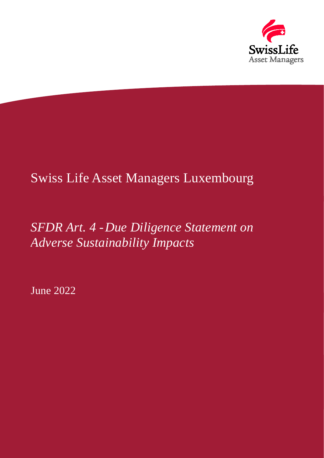

# Swiss Life Asset Managers Luxembourg

## *SFDR Art. 4 -Due Diligence Statement on Adverse Sustainability Impacts*

June 2022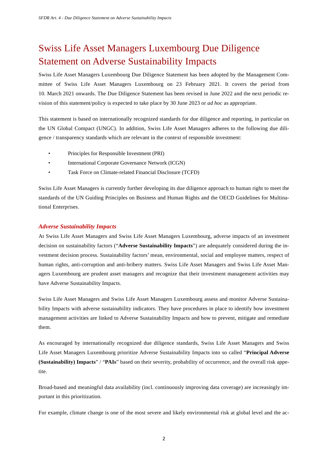### Swiss Life Asset Managers Luxembourg Due Diligence Statement on Adverse Sustainability Impacts

Swiss Life Asset Managers Luxembourg Due Diligence Statement has been adopted by the Management Committee of Swiss Life Asset Managers Luxembourg on 23 February 2021. It covers the period from 10. March 2021 onwards. The Due Diligence Statement has been revised in June 2022 and the next periodic revision of this statement/policy is expected to take place by 30 June 2023 or *ad hoc* as appropriate.

This statement is based on internationally recognized standards for due diligence and reporting, in particular on the UN Global Compact (UNGC). In addition, Swiss Life Asset Managers adheres to the following due diligence / transparency standards which are relevant in the context of responsible investment:

- Principles for Responsible Investment (PRI)
- International Corporate Governance Network (ICGN)
- Task Force on Climate-related Financial Disclosure (TCFD)

Swiss Life Asset Managers is currently further developing its due diligence approach to human right to meet the standards of the UN Guiding Principles on Business and Human Rights and the OECD Guidelines for Multinational Enterprises.

#### *Adverse Sustainability Impacts*

At Swiss Life Asset Managers and Swiss Life Asset Managers Luxembourg, adverse impacts of an investment decision on sustainability factors ("**Adverse Sustainability Impacts**") are adequately considered during the investment decision process. Sustainability factors' mean, environmental, social and employee matters, respect of human rights, anti-corruption and anti-bribery matters. Swiss Life Asset Managers and Swiss Life Asset Managers Luxembourg are prudent asset managers and recognize that their investment management activities may have Adverse Sustainability Impacts.

Swiss Life Asset Managers and Swiss Life Asset Managers Luxembourg assess and monitor Adverse Sustainability Impacts with adverse sustainability indicators. They have procedures in place to identify how investment management activities are linked to Adverse Sustainability Impacts and how to prevent, mitigate and remediate them.

As encouraged by internationally recognized due diligence standards, Swiss Life Asset Managers and Swiss Life Asset Managers Luxembourg prioritize Adverse Sustainability Impacts into so called "**Principal Adverse (Sustainability) Impacts" / "PAIs"** based on their severity, probability of occurrence, and the overall risk appetite.

Broad-based and meaningful data availability (incl. continuously improving data coverage) are increasingly important in this prioritization.

For example, climate change is one of the most severe and likely environmental risk at global level and the ac-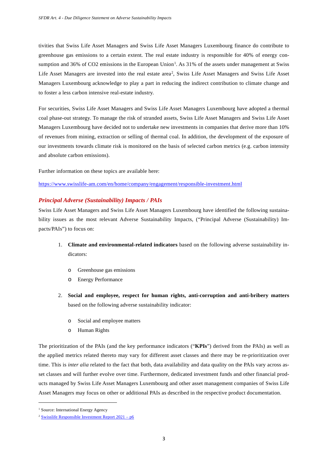tivities that Swiss Life Asset Managers and Swiss Life Asset Managers Luxembourg finance do contribute to greenhouse gas emissions to a certain extent. The real estate industry is responsible for 40% of energy con-sumption and 36% of CO2 emissions in the European Union<sup>[1](#page-2-0)</sup>. As 31% of the assets under management at Swiss Life Asset Managers are invested into the real estate area<sup>[2](#page-2-1)</sup>, Swiss Life Asset Managers and Swiss Life Asset Managers Luxembourg acknowledge to play a part in reducing the indirect contribution to climate change and to foster a less carbon intensive real-estate industry.

For securities, Swiss Life Asset Managers and Swiss Life Asset Managers Luxembourg have adopted a thermal coal phase-out strategy. To manage the risk of stranded assets, Swiss Life Asset Managers and Swiss Life Asset Managers Luxembourg have decided not to undertake new investments in companies that derive more than 10% of revenues from mining, extraction or selling of thermal coal. In addition, the development of the exposure of our investments towards climate risk is monitored on the basis of selected carbon metrics (e.g. carbon intensity and absolute carbon emissions).

Further information on these topics are available here:

<https://www.swisslife-am.com/en/home/company/engagement/responsible-investment.html>

#### *Principal Adverse (Sustainability) Impacts / PAIs*

Swiss Life Asset Managers and Swiss Life Asset Managers Luxembourg have identified the following sustainability issues as the most relevant Adverse Sustainability Impacts, ("Principal Adverse (Sustainability) Impacts/PAIs") to focus on:

- 1. **Climate and environmental-related indicators** based on the following adverse sustainability indicators:
	- o Greenhouse gas emissions
	- o Energy Performance
- 2. **Social and employee, respect for human rights, anti-corruption and anti-bribery matters**  based on the following adverse sustainability indicator:
	- o Social and employee matters
	- o Human Rights

The prioritization of the PAIs (and the key performance indicators ("**KPIs**") derived from the PAIs) as well as the applied metrics related thereto may vary for different asset classes and there may be re-prioritization over time. This is *inter alia* related to the fact that both, data availability and data quality on the PAIs vary across asset classes and will further evolve over time. Furthermore, dedicated investment funds and other financial products managed by Swiss Life Asset Managers Luxembourg and other asset management companies of Swiss Life Asset Managers may focus on other or additional PAIs as described in the respective product documentation.

<span id="page-2-0"></span><sup>&</sup>lt;sup>1</sup> Source: International Energy Agency

<span id="page-2-1"></span><sup>&</sup>lt;sup>2</sup> [Swisslife Responsible Investment Report](https://www.swisslife-am.com/content/dam/slamch/esg_global/responsible-investment-report-2022/SwissLife_AM_Responsible%20Investment%20Report%202021_en_WEB.pdf)  $2021 - p6$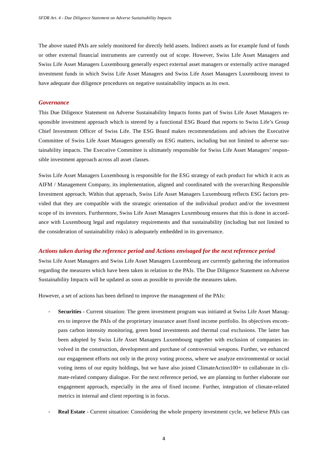The above stated PAIs are solely monitored for directly held assets. Indirect assets as for example fund of funds or other external financial instruments are currently out of scope. However, Swiss Life Asset Managers and Swiss Life Asset Managers Luxembourg generally expect external asset managers or externally active managed investment funds in which Swiss Life Asset Managers and Swiss Life Asset Managers Luxembourg invest to have adequate due diligence procedures on negative sustainability impacts as its own.

#### *Governance*

This Due Diligence Statement on Adverse Sustainability Impacts forms part of Swiss Life Asset Managers responsible investment approach which is steered by a functional ESG Board that reports to Swiss Life's Group Chief Investment Officer of Swiss Life. The ESG Board makes recommendations and advises the Executive Committee of Swiss Life Asset Managers generally on ESG matters, including but not limited to adverse sustainability impacts. The Executive Committee is ultimately responsible for Swiss Life Asset Managers' responsible investment approach across all asset classes.

Swiss Life Asset Managers Luxembourg is responsible for the ESG strategy of each product for which it acts as AIFM / Management Company, its implementation, aligned and coordinated with the overarching Responsible Investment approach. Within that approach, Swiss Life Asset Managers Luxembourg reflects ESG factors provided that they are compatible with the strategic orientation of the individual product and/or the investment scope of its investors. Furthermore, Swiss Life Asset Managers Luxembourg ensures that this is done in accordance with Luxembourg legal and regulatory requirements and that sustainability (including but not limited to the consideration of sustainability risks) is adequately embedded in its governance.

#### *Actions taken during the reference period and Actions envisaged for the next reference period*

Swiss Life Asset Managers and Swiss Life Asset Managers Luxembourg are currently gathering the information regarding the measures which have been taken in relation to the PAIs. The Due Diligence Statement on Adverse Sustainability Impacts will be updated as soon as possible to provide the measures taken.

However, a set of actions has been defined to improve the management of the PAIs:

- **Securities** Current situation: The green investment program was initiated at Swiss Life Asset Managers to improve the PAIs of the proprietary insurance asset fixed income portfolio. Its objectives encompass carbon intensity monitoring, green bond investments and thermal coal exclusions. The latter has been adopted by Swiss Life Asset Managers Luxembourg together with exclusion of companies involved in the construction, development and purchase of controversial weapons. Further, we enhanced our engagement efforts not only in the proxy voting process, where we analyze environmental or social voting items of our equity holdings, but we have also joined ClimateAction100+ to collaborate in climate-related company dialogue. For the next reference period, we are planning to further elaborate our engagement approach, especially in the area of fixed income. Further, integration of climate-related metrics in internal and client reporting is in focus.
- **Real Estate** Current situation: Considering the whole property investment cycle, we believe PAIs can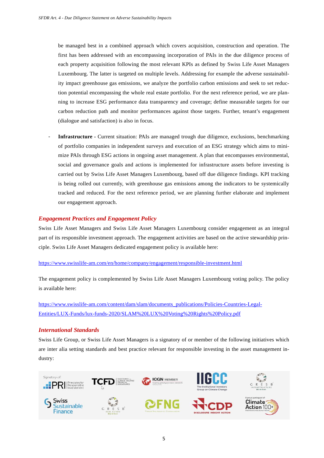be managed best in a combined approach which covers acquisition, construction and operation. The first has been addressed with an encompassing incorporation of PAIs in the due diligence process of each property acquisition following the most relevant KPIs as defined by Swiss Life Asset Managers Luxembourg. The latter is targeted on multiple levels. Addressing for example the adverse sustainability impact greenhouse gas emissions, we analyze the portfolio carbon emissions and seek to set reduction potential encompassing the whole real estate portfolio. For the next reference period, we are planning to increase ESG performance data transparency and coverage; define measurable targets for our carbon reduction path and monitor performances against those targets. Further, tenant's engagement (dialogue and satisfaction) is also in focus.

- **Infrastructure -** Current situation: PAIs are managed trough due diligence, exclusions, benchmarking of portfolio companies in independent surveys and execution of an ESG strategy which aims to minimize PAIs through ESG actions in ongoing asset management. A plan that encompasses environmental, social and governance goals and actions is implemented for infrastructure assets before investing is carried out by Swiss Life Asset Managers Luxembourg, based off due diligence findings. KPI tracking is being rolled out currently, with greenhouse gas emissions among the indicators to be systemically tracked and reduced. For the next reference period, we are planning further elaborate and implement our engagement approach.

#### *Engagement Practices and Engagement Policy*

Swiss Life Asset Managers and Swiss Life Asset Managers Luxembourg consider engagement as an integral part of its responsible investment approach. The engagement activities are based on the active stewardship principle. Swiss Life Asset Managers dedicated engagement policy is available here:

#### https://www.swisslife-am.com/en/home/company/engagement/responsible-investment.html

The engagement policy is complemented by Swiss Life Asset Managers Luxembourg voting policy. The policy is available here:

[https://www.swisslife-am.com/content/dam/slam/documents\\_publications/Policies-Countries-Legal-](https://www.swisslife-am.com/content/dam/slam/documents_publications/Policies-Countries-Legal-Entities/LUX-Funds/lux-funds-2020/SLAM%20LUX%20Voting%20Rights%20Policy.pdf)[Entities/LUX-Funds/lux-funds-2020/SLAM%20LUX%20Voting%20Rights%20Policy.pdf](https://www.swisslife-am.com/content/dam/slam/documents_publications/Policies-Countries-Legal-Entities/LUX-Funds/lux-funds-2020/SLAM%20LUX%20Voting%20Rights%20Policy.pdf)

#### *International Standards*

Swiss Life Group, or Swiss Life Asset Managers is a signatory of or member of the following initiatives which are inter alia setting standards and best practice relevant for responsible investing in the asset management industry:

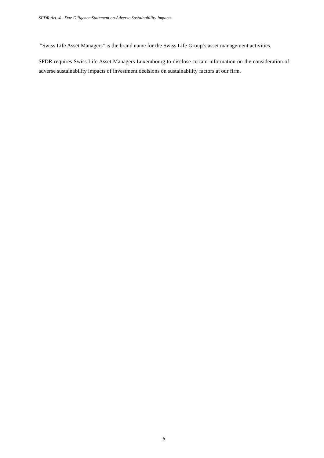"Swiss Life Asset Managers" is the brand name for the Swiss Life Group's asset management activities.

SFDR requires Swiss Life Asset Managers Luxembourg to disclose certain information on the consideration of adverse sustainability impacts of investment decisions on sustainability factors at our firm.